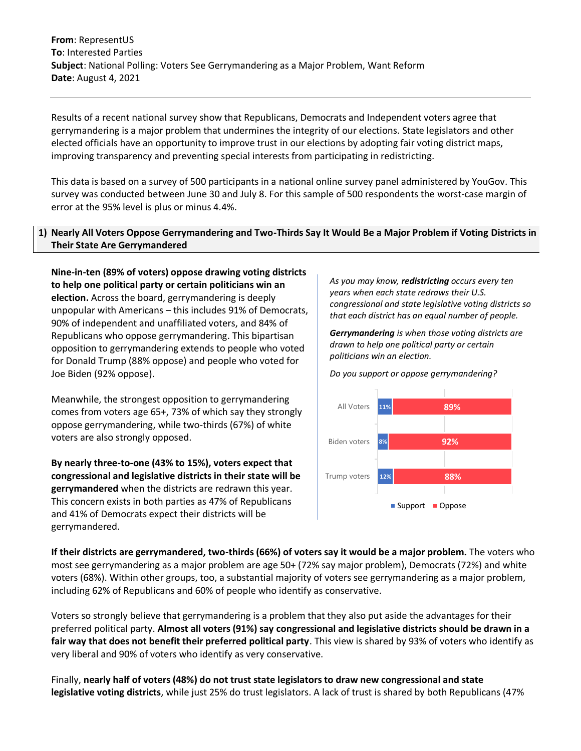**From**: RepresentUS **To**: Interested Parties **Subject**: National Polling: Voters See Gerrymandering as a Major Problem, Want Reform **Date**: August 4, 2021

Results of a recent national survey show that Republicans, Democrats and Independent voters agree that gerrymandering is a major problem that undermines the integrity of our elections. State legislators and other elected officials have an opportunity to improve trust in our elections by adopting fair voting district maps, improving transparency and preventing special interests from participating in redistricting.

This data is based on a survey of 500 participants in a national online survey panel administered by YouGov. This survey was conducted between June 30 and July 8. For this sample of 500 respondents the worst-case margin of error at the 95% level is plus or minus 4.4%.

## **1) Nearly All Voters Oppose Gerrymandering and Two-Thirds Say It Would Be a Major Problem if Voting Districts in Their State Are Gerrymandered**

**Nine-in-ten (89% of voters) oppose drawing voting districts to help one political party or certain politicians win an election.** Across the board, gerrymandering is deeply unpopular with Americans – this includes 91% of Democrats, 90% of independent and unaffiliated voters, and 84% of Republicans who oppose gerrymandering. This bipartisan opposition to gerrymandering extends to people who voted for Donald Trump (88% oppose) and people who voted for Joe Biden (92% oppose).

Meanwhile, the strongest opposition to gerrymandering comes from voters age 65+, 73% of which say they strongly oppose gerrymandering, while two-thirds (67%) of white voters are also strongly opposed.

**By nearly three-to-one (43% to 15%), voters expect that congressional and legislative districts in their state will be gerrymandered** when the districts are redrawn this year. This concern exists in both parties as 47% of Republicans and 41% of Democrats expect their districts will be gerrymandered.

*As you may know, redistricting occurs every ten years when each state redraws their U.S. congressional and state legislative voting districts so that each district has an equal number of people.* 

*Gerrymandering is when those voting districts are drawn to help one political party or certain politicians win an election.* 

*Do you support or oppose gerrymandering?*



**If their districts are gerrymandered, two-thirds (66%) of voters say it would be a major problem.** The voters who most see gerrymandering as a major problem are age 50+ (72% say major problem), Democrats (72%) and white voters (68%). Within other groups, too, a substantial majority of voters see gerrymandering as a major problem, including 62% of Republicans and 60% of people who identify as conservative.

Voters so strongly believe that gerrymandering is a problem that they also put aside the advantages for their preferred political party. **Almost all voters (91%) say congressional and legislative districts should be drawn in a fair way that does not benefit their preferred political party**. This view is shared by 93% of voters who identify as very liberal and 90% of voters who identify as very conservative.

Finally, **nearly half of voters (48%) do not trust state legislators to draw new congressional and state legislative voting districts**, while just 25% do trust legislators. A lack of trust is shared by both Republicans (47%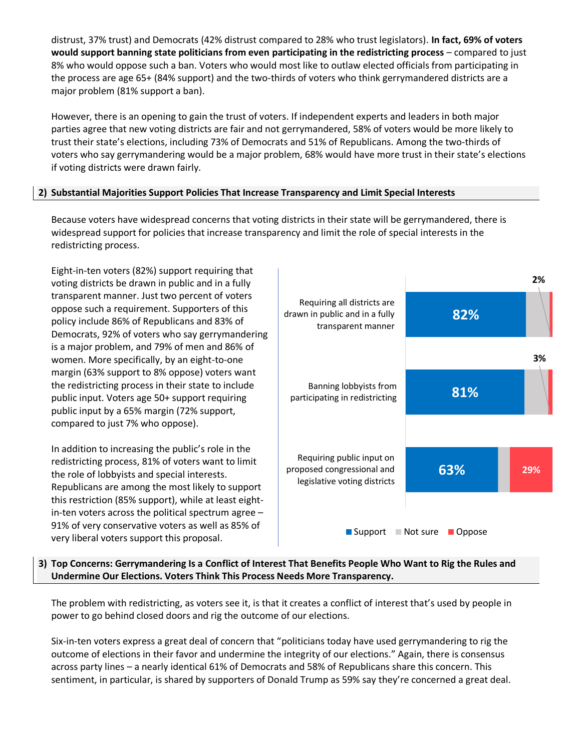distrust, 37% trust) and Democrats (42% distrust compared to 28% who trust legislators). **In fact, 69% of voters would support banning state politicians from even participating in the redistricting process** – compared to just 8% who would oppose such a ban. Voters who would most like to outlaw elected officials from participating in the process are age 65+ (84% support) and the two-thirds of voters who think gerrymandered districts are a major problem (81% support a ban).

However, there is an opening to gain the trust of voters. If independent experts and leaders in both major parties agree that new voting districts are fair and not gerrymandered, 58% of voters would be more likely to trust their state's elections, including 73% of Democrats and 51% of Republicans. Among the two-thirds of voters who say gerrymandering would be a major problem, 68% would have more trust in their state's elections if voting districts were drawn fairly.

## **2) Substantial Majorities Support Policies That Increase Transparency and Limit Special Interests**

Because voters have widespread concerns that voting districts in their state will be gerrymandered, there is widespread support for policies that increase transparency and limit the role of special interests in the redistricting process.

Eight-in-ten voters (82%) support requiring that voting districts be drawn in public and in a fully transparent manner. Just two percent of voters oppose such a requirement. Supporters of this policy include 86% of Republicans and 83% of Democrats, 92% of voters who say gerrymandering is a major problem, and 79% of men and 86% of women. More specifically, by an eight-to-one margin (63% support to 8% oppose) voters want the redistricting process in their state to include public input. Voters age 50+ support requiring public input by a 65% margin (72% support, compared to just 7% who oppose).

In addition to increasing the public's role in the redistricting process, 81% of voters want to limit the role of lobbyists and special interests. Republicans are among the most likely to support this restriction (85% support), while at least eightin-ten voters across the political spectrum agree – 91% of very conservative voters as well as 85% of very liberal voters support this proposal.



## **3) Top Concerns: Gerrymandering Is a Conflict of Interest That Benefits People Who Want to Rig the Rules and Undermine Our Elections. Voters Think This Process Needs More Transparency.**

The problem with redistricting, as voters see it, is that it creates a conflict of interest that's used by people in power to go behind closed doors and rig the outcome of our elections.

Six-in-ten voters express a great deal of concern that "politicians today have used gerrymandering to rig the outcome of elections in their favor and undermine the integrity of our elections." Again, there is consensus across party lines – a nearly identical 61% of Democrats and 58% of Republicans share this concern. This sentiment, in particular, is shared by supporters of Donald Trump as 59% say they're concerned a great deal.